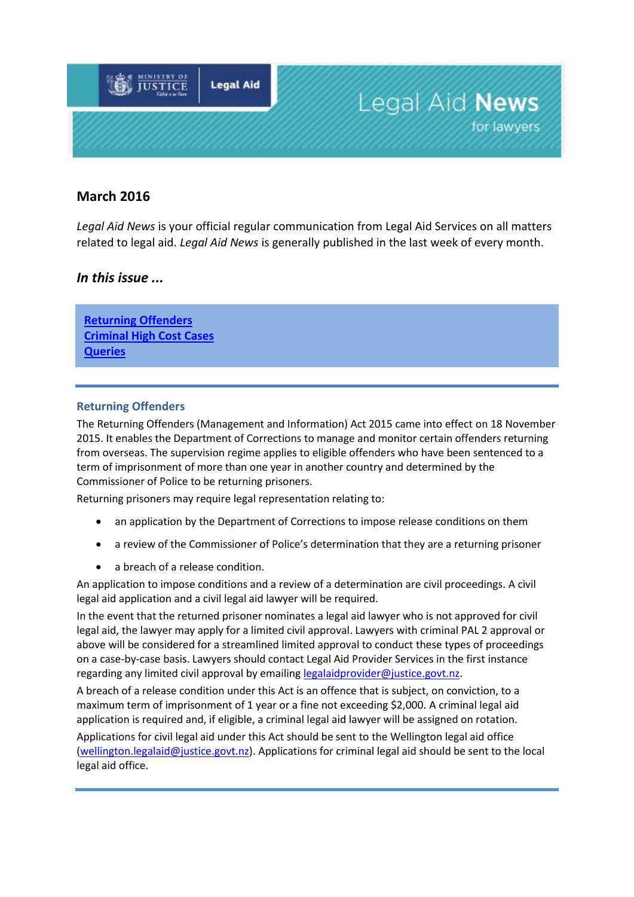

# **March 2016**

*Legal Aid News* is your official regular communication from Legal Aid Services on all matters related to legal aid. *Legal Aid News* is generally published in the last week of every month.

## *In this issue ...*

**[Returning Offenders](#page-0-0) [Criminal High Cost Cases](#page-1-0) Queries**

#### <span id="page-0-0"></span>**Returning Offenders**

The Returning Offenders (Management and Information) Act 2015 came into effect on 18 November 2015. It enables the Department of Corrections to manage and monitor certain offenders returning from overseas. The supervision regime applies to eligible offenders who have been sentenced to a term of imprisonment of more than one year in another country and determined by the Commissioner of Police to be returning prisoners.

Returning prisoners may require legal representation relating to:

- an application by the Department of Corrections to impose release conditions on them
- a review of the Commissioner of Police's determination that they are a returning prisoner
- a breach of a release condition.

An application to impose conditions and a review of a determination are civil proceedings. A civil legal aid application and a civil legal aid lawyer will be required.

In the event that the returned prisoner nominates a legal aid lawyer who is not approved for civil legal aid, the lawyer may apply for a limited civil approval. Lawyers with criminal PAL 2 approval or above will be considered for a streamlined limited approval to conduct these types of proceedings on a case-by-case basis. Lawyers should contact Legal Aid Provider Services in the first instance regarding any limited civil approval by emailing [legalaidprovider@justice.govt.nz.](mailto:legalaidprovider@justice.govt.nz)

A breach of a release condition under this Act is an offence that is subject, on conviction, to a maximum term of imprisonment of 1 year or a fine not exceeding \$2,000. A criminal legal aid application is required and, if eligible, a criminal legal aid lawyer will be assigned on rotation.

Applications for civil legal aid under this Act should be sent to the Wellington legal aid office [\(wellington.legalaid@justice.govt.nz\)](mailto:wellington.legalaid@justice.govt.nz). Applications for criminal legal aid should be sent to the local legal aid office.